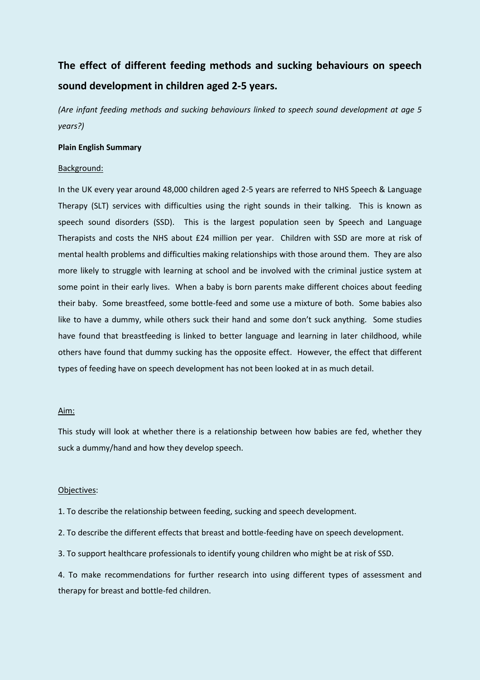# **The effect of different feeding methods and sucking behaviours on speech sound development in children aged 2-5 years.**

*(Are infant feeding methods and sucking behaviours linked to speech sound development at age 5 years?)*

# **Plain English Summary**

### Background:

In the UK every year around 48,000 children aged 2-5 years are referred to NHS Speech & Language Therapy (SLT) services with difficulties using the right sounds in their talking. This is known as speech sound disorders (SSD). This is the largest population seen by Speech and Language Therapists and costs the NHS about £24 million per year. Children with SSD are more at risk of mental health problems and difficulties making relationships with those around them. They are also more likely to struggle with learning at school and be involved with the criminal justice system at some point in their early lives. When a baby is born parents make different choices about feeding their baby. Some breastfeed, some bottle-feed and some use a mixture of both. Some babies also like to have a dummy, while others suck their hand and some don't suck anything. Some studies have found that breastfeeding is linked to better language and learning in later childhood, while others have found that dummy sucking has the opposite effect. However, the effect that different types of feeding have on speech development has not been looked at in as much detail.

### Aim:

This study will look at whether there is a relationship between how babies are fed, whether they suck a dummy/hand and how they develop speech.

## Objectives:

1. To describe the relationship between feeding, sucking and speech development.

2. To describe the different effects that breast and bottle-feeding have on speech development.

3. To support healthcare professionals to identify young children who might be at risk of SSD.

4. To make recommendations for further research into using different types of assessment and therapy for breast and bottle-fed children.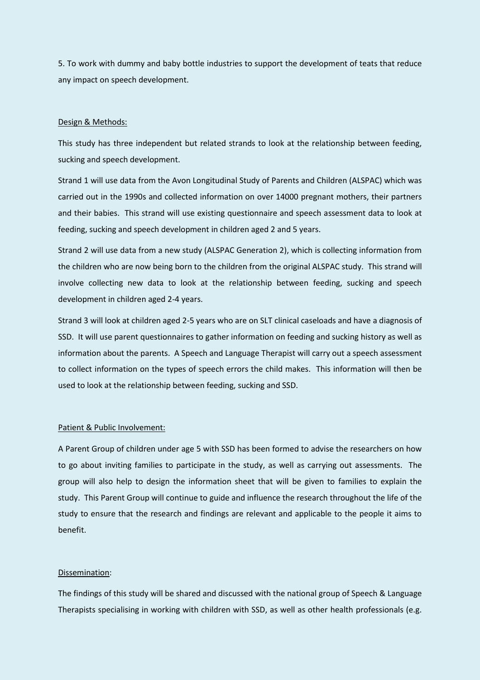5. To work with dummy and baby bottle industries to support the development of teats that reduce any impact on speech development.

## Design & Methods:

This study has three independent but related strands to look at the relationship between feeding, sucking and speech development.

Strand 1 will use data from the Avon Longitudinal Study of Parents and Children (ALSPAC) which was carried out in the 1990s and collected information on over 14000 pregnant mothers, their partners and their babies. This strand will use existing questionnaire and speech assessment data to look at feeding, sucking and speech development in children aged 2 and 5 years.

Strand 2 will use data from a new study (ALSPAC Generation 2), which is collecting information from the children who are now being born to the children from the original ALSPAC study. This strand will involve collecting new data to look at the relationship between feeding, sucking and speech development in children aged 2-4 years.

Strand 3 will look at children aged 2-5 years who are on SLT clinical caseloads and have a diagnosis of SSD. It will use parent questionnaires to gather information on feeding and sucking history as well as information about the parents. A Speech and Language Therapist will carry out a speech assessment to collect information on the types of speech errors the child makes. This information will then be used to look at the relationship between feeding, sucking and SSD.

# Patient & Public Involvement:

A Parent Group of children under age 5 with SSD has been formed to advise the researchers on how to go about inviting families to participate in the study, as well as carrying out assessments. The group will also help to design the information sheet that will be given to families to explain the study. This Parent Group will continue to guide and influence the research throughout the life of the study to ensure that the research and findings are relevant and applicable to the people it aims to benefit.

### Dissemination:

The findings of this study will be shared and discussed with the national group of Speech & Language Therapists specialising in working with children with SSD, as well as other health professionals (e.g.